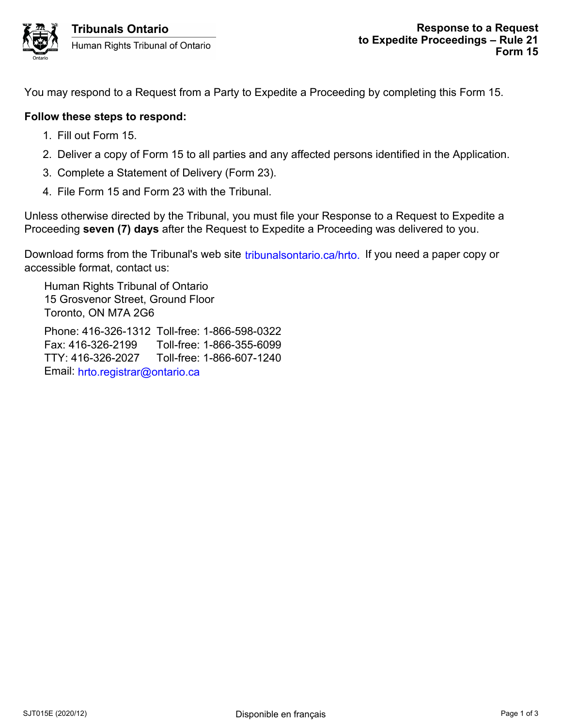You may respond to a Request from a Party to Expedite a Proceeding by completing this Form 15.

## **Follow these steps to respond:**

- 1. Fill out Form 15.
- 2. Deliver a copy of Form 15 to all parties and any affected persons identified in the Application.
- 3. Complete a Statement of Delivery (Form 23).
- 4. File Form 15 and Form 23 with the Tribunal.

Unless otherwise directed by the Tribunal, you must file your Response to a Request to Expedite a Proceeding **seven (7) days** after the Request to Expedite a Proceeding was delivered to you.

Download forms from the Tribunal's web site tribunalsontario.ca/hrto. If you need a paper copy or accessible format, contact us:

Human Rights Tribunal of Ontario 15 Grosvenor Street, Ground Floor Toronto, ON M7A 2G6

Phone: 416-326-1312 Toll-free: 1-866-598-0322 Fax: 416-326-2199 Toll-free: 1-866-355-6099 TTY: 416-326-2027 Toll-free: 1-866-607-1240 Email: hrto.registrar@ontario.ca oms from the Tribunal's web site tribunalsontario.ca/hrto. If you need a paper copy or<br>Forms Stribunal of Ontario<br>svence Street, Ground Floor<br>5, ON M7A 2G6<br>14 fie-326-2192 Toll-free: 1-866-598-0322<br>16-326-2199 Toll-free: 1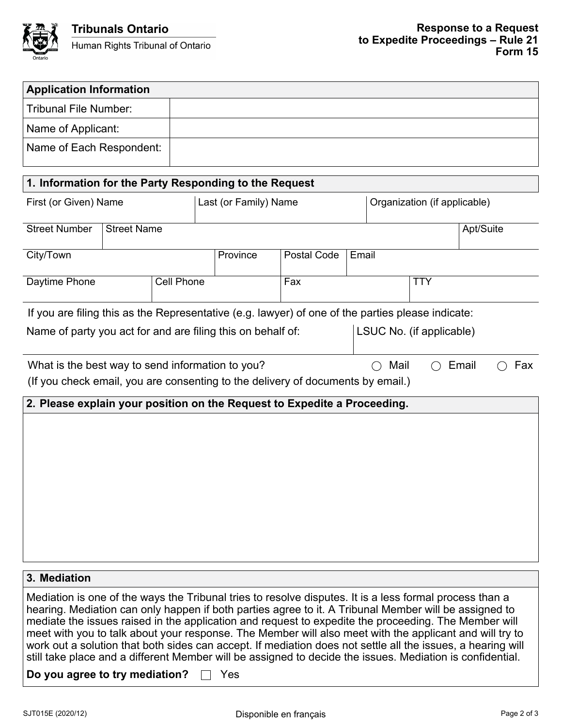

| <b>Application Information</b>                                                                                                                                                                                                                                                                                                                                                                                                                                                                                                                                                                                                                                  |                       |          |                          |                              |           |  |  |
|-----------------------------------------------------------------------------------------------------------------------------------------------------------------------------------------------------------------------------------------------------------------------------------------------------------------------------------------------------------------------------------------------------------------------------------------------------------------------------------------------------------------------------------------------------------------------------------------------------------------------------------------------------------------|-----------------------|----------|--------------------------|------------------------------|-----------|--|--|
| <b>Tribunal File Number:</b>                                                                                                                                                                                                                                                                                                                                                                                                                                                                                                                                                                                                                                    |                       |          |                          |                              |           |  |  |
| Name of Applicant:                                                                                                                                                                                                                                                                                                                                                                                                                                                                                                                                                                                                                                              |                       |          |                          |                              |           |  |  |
| Name of Each Respondent:                                                                                                                                                                                                                                                                                                                                                                                                                                                                                                                                                                                                                                        |                       |          |                          |                              |           |  |  |
|                                                                                                                                                                                                                                                                                                                                                                                                                                                                                                                                                                                                                                                                 |                       |          |                          |                              |           |  |  |
| 1. Information for the Party Responding to the Request                                                                                                                                                                                                                                                                                                                                                                                                                                                                                                                                                                                                          |                       |          |                          |                              |           |  |  |
| First (or Given) Name                                                                                                                                                                                                                                                                                                                                                                                                                                                                                                                                                                                                                                           | Last (or Family) Name |          |                          | Organization (if applicable) |           |  |  |
| <b>Street Number</b><br><b>Street Name</b>                                                                                                                                                                                                                                                                                                                                                                                                                                                                                                                                                                                                                      |                       |          |                          |                              | Apt/Suite |  |  |
| City/Town                                                                                                                                                                                                                                                                                                                                                                                                                                                                                                                                                                                                                                                       |                       | Province | Postal Code              | Email                        |           |  |  |
| Daytime Phone                                                                                                                                                                                                                                                                                                                                                                                                                                                                                                                                                                                                                                                   | Cell Phone            |          | Fax                      | <b>TTY</b>                   |           |  |  |
| If you are filing this as the Representative (e.g. lawyer) of one of the parties please indicate:                                                                                                                                                                                                                                                                                                                                                                                                                                                                                                                                                               |                       |          |                          |                              |           |  |  |
| Name of party you act for and are filing this on behalf of:                                                                                                                                                                                                                                                                                                                                                                                                                                                                                                                                                                                                     |                       |          | LSUC No. (if applicable) |                              |           |  |  |
| What is the best way to send information to you?<br>Mail<br>Email<br>Fax<br>(If you check email, you are consenting to the delivery of documents by email.)                                                                                                                                                                                                                                                                                                                                                                                                                                                                                                     |                       |          |                          |                              |           |  |  |
| 2. Please explain your position on the Request to Expedite a Proceeding.                                                                                                                                                                                                                                                                                                                                                                                                                                                                                                                                                                                        |                       |          |                          |                              |           |  |  |
|                                                                                                                                                                                                                                                                                                                                                                                                                                                                                                                                                                                                                                                                 |                       |          |                          |                              |           |  |  |
|                                                                                                                                                                                                                                                                                                                                                                                                                                                                                                                                                                                                                                                                 |                       |          |                          |                              |           |  |  |
|                                                                                                                                                                                                                                                                                                                                                                                                                                                                                                                                                                                                                                                                 |                       |          |                          |                              |           |  |  |
|                                                                                                                                                                                                                                                                                                                                                                                                                                                                                                                                                                                                                                                                 |                       |          |                          |                              |           |  |  |
|                                                                                                                                                                                                                                                                                                                                                                                                                                                                                                                                                                                                                                                                 |                       |          |                          |                              |           |  |  |
|                                                                                                                                                                                                                                                                                                                                                                                                                                                                                                                                                                                                                                                                 |                       |          |                          |                              |           |  |  |
|                                                                                                                                                                                                                                                                                                                                                                                                                                                                                                                                                                                                                                                                 |                       |          |                          |                              |           |  |  |
| 3. Mediation                                                                                                                                                                                                                                                                                                                                                                                                                                                                                                                                                                                                                                                    |                       |          |                          |                              |           |  |  |
| Mediation is one of the ways the Tribunal tries to resolve disputes. It is a less formal process than a<br>hearing. Mediation can only happen if both parties agree to it. A Tribunal Member will be assigned to<br>mediate the issues raised in the application and request to expedite the proceeding. The Member will<br>meet with you to talk about your response. The Member will also meet with the applicant and will try to<br>work out a solution that both sides can accept. If mediation does not settle all the issues, a hearing will<br>still take place and a different Member will be assigned to decide the issues. Mediation is confidential. |                       |          |                          |                              |           |  |  |
| Yes<br>Do you agree to try mediation?                                                                                                                                                                                                                                                                                                                                                                                                                                                                                                                                                                                                                           |                       |          |                          |                              |           |  |  |